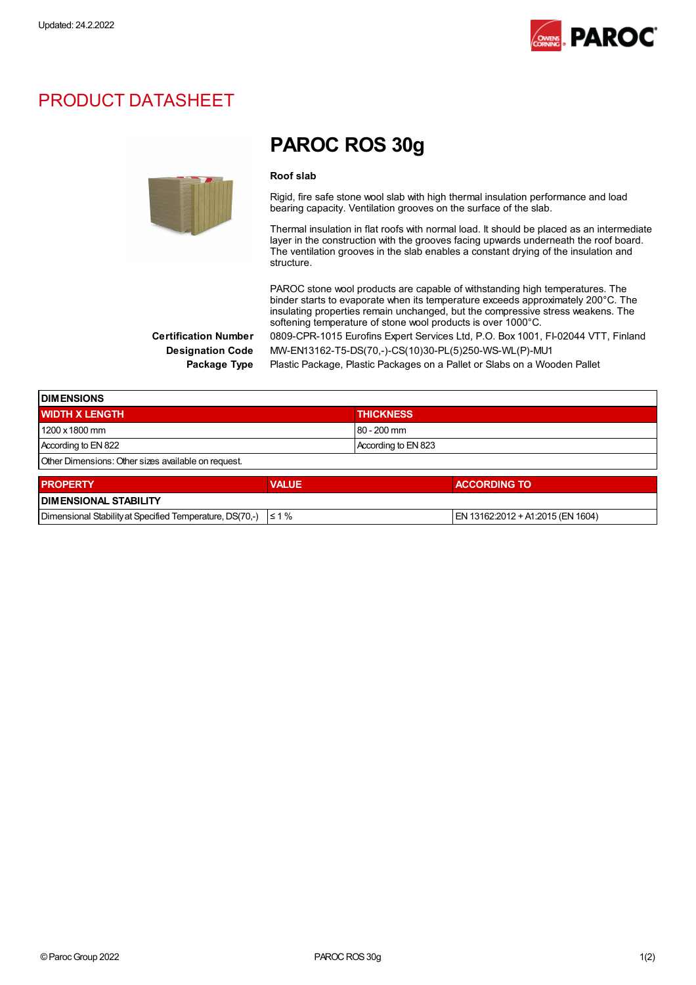

### PRODUCT DATASHEET



## PAROC ROS 30g

#### Roof slab

Rigid, fire safe stone wool slab with high thermal insulation performance and load bearing capacity. Ventilation grooves on the surface of the slab.

Thermal insulation in flat roofs with normal load. It should be placed as an intermediate layer in the construction with the grooves facing upwards underneath the roof board. The ventilation grooves in the slab enables a constant drying of the insulation and structure.

PAROC stone wool products are capable of withstanding high temperatures. The binder starts to evaporate when its temperature exceeds approximately 200°C. The insulating properties remain unchanged, but the compressive stress weakens. The softening temperature of stone wool products is over 1000°C. Certification Number 0809-CPR-1015 Eurofins Expert Services Ltd, P.O. Box 1001, FI-02044 VTT, Finland

Designation Code MW-EN13162-T5-DS(70,-)-CS(10)30-PL(5)250-WS-WL(P)-MU1

Package Type Plastic Package, Plastic Packages on a Pallet or Slabs on a Wooden Pallet

| <b>IDIMENSIONS</b>                                  |              |                     |                     |  |
|-----------------------------------------------------|--------------|---------------------|---------------------|--|
| <b>WIDTH X LENGTH</b>                               |              | <b>THICKNESS</b>    |                     |  |
| 1200 x 1800 mm                                      |              | $80 - 200$ mm       |                     |  |
| According to EN 822                                 |              | According to EN 823 |                     |  |
| Other Dimensions: Other sizes available on request. |              |                     |                     |  |
| <b>PROPERTY</b>                                     | <b>VALUE</b> |                     | <b>ACCORDING TO</b> |  |

| <b>DIMENSIONAL STABILITY</b>                                        |                                   |
|---------------------------------------------------------------------|-----------------------------------|
| Dimensional Stability at Specified Temperature, DS(70,-) $\leq 1\%$ | EN 13162:2012 + A1:2015 (EN 1604) |